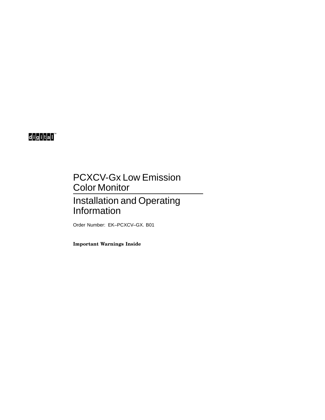# digital

# PCXCV-Gx Low Emission Color Monitor

# Installation and Operating Information

Order Number: EK–PCXCV–GX. B01

**Important Warnings Inside**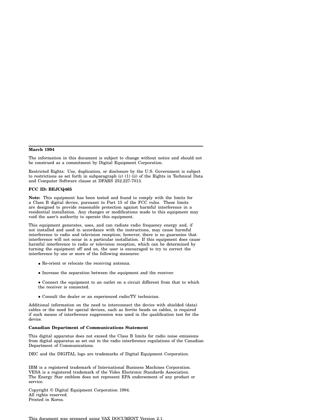#### **March 1994**

The information in this document is subject to change without notice and should not be construed as a commitment by Digital Equipment Corporation.

Restricted Rights: Use, duplication, or disclosure by the U.S. Government is subject to restrictions as set forth in subparagraph (c) (1) (ii) of the Rights in Technical Data and Computer Software clause at DFARS 252.227-7013.

#### **FCC ID: BEJCQ465**

**Note:** This equipment has been tested and found to comply with the limits for a Class B digital device, pursuant to Part 15 of the FCC rules. These limits are designed to provide reasonable protection against harmful interference in a residential installation. Any changes or modifications made to this equipment may void the user's authority to operate this equipment.

This equipment generates, uses, and can radiate radio frequency energy and, if not installed and used in accordance with the instructions, may cause harmful interference to radio and television reception; however, there is no guarantee that interference will not occur in a particular installation. If this equipment does cause harmful interference to radio or television reception, which can be determined by turning the equipment off and on, the user is encouraged to try to correct the interference by one or more of the following measures:

- Re-orient or relocate the receiving antenna.
- Increase the separation between the equipment and the receiver.
- Connect the equipment to an outlet on a circuit different from that to which the receiver is connected.
- Consult the dealer or an experienced radio/TV technician.

Additional information on the need to interconnect the device with shielded (data) cables or the need for special devices, such as ferrite beads on cables, is required if such means of interference suppression was used in the qualification test for the device.

#### **Canadian Department of Communications Statement**

This digital apparatus does not exceed the Class B limits for radio noise emissions from digital apparatus as set out in the radio interference regulations of the Canadian Department of Communications.

DEC and the DIGITAL logo are trademarks of Digital Equipment Corporation.

IBM is a registered trademark of International Business Machines Corporation. VESA is a registered trademark of the Video Electronic Standards Association. The Energy Star emblem does not represent EPA endorsement of any product or service.

Copyright © Digital Equipment Corporation 1994. All rights reserved. Printed in Korea.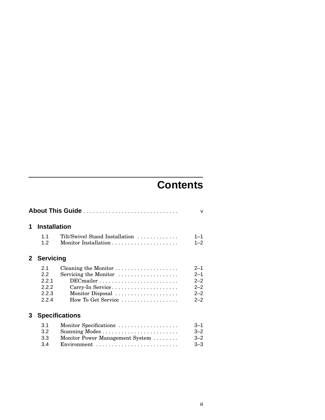# **Contents**

| 1              | <b>Installation</b>                          |                                                                                                                    |                                                                |  |  |  |
|----------------|----------------------------------------------|--------------------------------------------------------------------------------------------------------------------|----------------------------------------------------------------|--|--|--|
|                | 11<br>1.2                                    | Tilt/Swivel Stand Installation                                                                                     | $1 - 1$<br>$1 - 2$                                             |  |  |  |
| 2 <sup>1</sup> | <b>Servicing</b>                             |                                                                                                                    |                                                                |  |  |  |
|                | 2.1<br>2.2<br>2.2.1<br>2.2.2<br>2.2.3<br>224 | Servicing the Monitor<br>DECmailer<br>Monitor Disposal<br>How To Get Service $\dots\dots\dots\dots\dots\dots\dots$ | $2 - 1$<br>$2 - 1$<br>$2 - 2$<br>$2 - 2$<br>$2 - 2$<br>$2 - 2$ |  |  |  |
| 3              | <b>Specifications</b>                        |                                                                                                                    |                                                                |  |  |  |
|                | 3.1<br>3.2<br>3.3<br>3.4                     | Monitor Specifications<br>Monitor Power Management System<br>Environment                                           | $3 - 1$<br>$3 - 2$<br>$3 - 2$<br>$3 - 3$                       |  |  |  |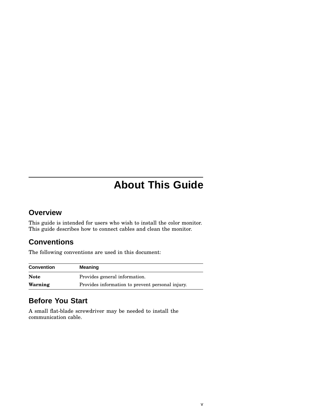# **About This Guide**

## **Overview**

This guide is intended for users who wish to install the color monitor. This guide describes how to connect cables and clean the monitor.

# **Conventions**

The following conventions are used in this document:

| <b>Convention</b> | Meaning                                          |
|-------------------|--------------------------------------------------|
| <b>Note</b>       | Provides general information.                    |
| Warning           | Provides information to prevent personal injury. |

# **Before You Start**

A small flat-blade screwdriver may be needed to install the communication cable.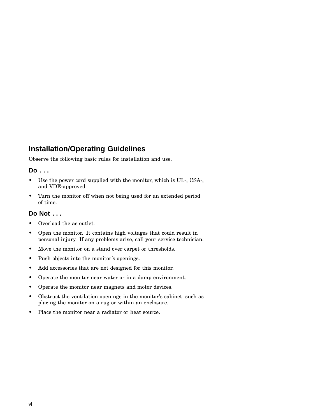## **Installation/Operating Guidelines**

Observe the following basic rules for installation and use.

## **Do . . .**

- Use the power cord supplied with the monitor, which is UL-, CSA-, and VDE-approved.
- Turn the monitor off when not being used for an extended period of time.

## **Do Not . . .**

- Overload the ac outlet.
- Open the monitor. It contains high voltages that could result in personal injury. If any problems arise, call your service technician.
- Move the monitor on a stand over carpet or thresholds.
- Push objects into the monitor's openings.
- Add accessories that are not designed for this monitor.
- Operate the monitor near water or in a damp environment.
- Operate the monitor near magnets and motor devices.
- Obstruct the ventilation openings in the monitor's cabinet, such as placing the monitor on a rug or within an enclosure.
- Place the monitor near a radiator or heat source.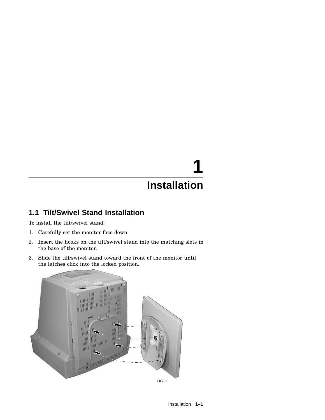# **1 Installation**

# **1.1 Tilt/Swivel Stand Installation**

To install the tilt/swivel stand:

- 1. Carefully set the monitor face down.
- 2. Insert the hooks on the tilt/swivel stand into the matching slots in the base of the monitor.
- 3. Slide the tilt/swivel stand toward the front of the monitor until the latches click into the locked position.

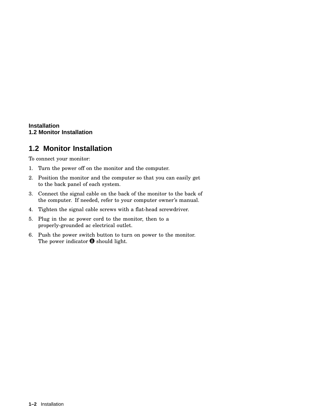### **Installation 1.2 Monitor Installation**

# **1.2 Monitor Installation**

To connect your monitor:

- 1. Turn the power off on the monitor and the computer.
- 2. Position the monitor and the computer so that you can easily get to the back panel of each system.
- 3. Connect the signal cable on the back of the monitor to the back of the computer. If needed, refer to your computer owner's manual.
- 4. Tighten the signal cable screws with a flat-head screwdriver.
- 5. Plug in the ac power cord to the monitor, then to a properly-grounded ac electrical outlet.
- 6. Push the power switch button to turn on power to the monitor. The power indicator  $\bm{\Theta}$  should light.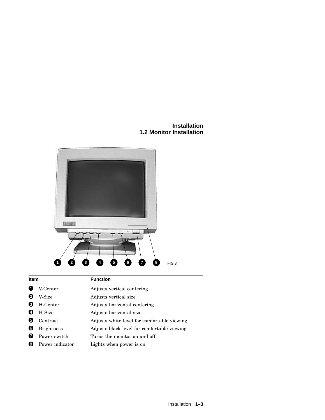**Installation 1.2 Monitor Installation**



**Item Function O** V-Center Adjusts vertical centering **2** V-Size Adjusts vertical size **8** H-Center Adjusts horizontal centering  $\bullet$  H-Size Adjusts horizontal size **O** Contrast Adjusts white level for comfortable viewing **6** Brightness Adjusts black level for comfortable viewing **O** Power switch Turns the monitor on and off <sup>6</sup> Power indicator Lights when power is on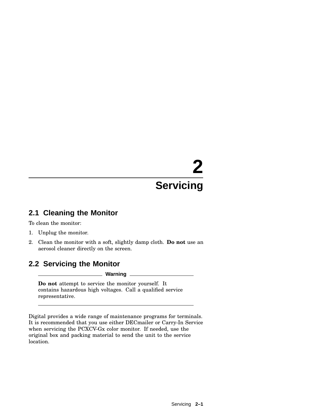# **2 Servicing**

## **2.1 Cleaning the Monitor**

To clean the monitor:

- 1. Unplug the monitor.
- 2. Clean the monitor with a soft, slightly damp cloth. **Do not** use an aerosol cleaner directly on the screen.

# **2.2 Servicing the Monitor**

**Warning**

**Do not** attempt to service the monitor yourself. It contains hazardous high voltages. Call a qualified service representative.

Digital provides a wide range of maintenance programs for terminals. It is recommended that you use either DECmailer or Carry-In Service when servicing the PCXCV-Gx color monitor. If needed, use the original box and packing material to send the unit to the service location.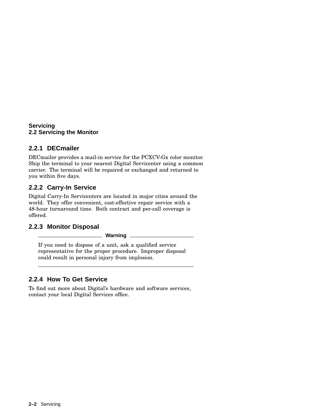### **Servicing 2.2 Servicing the Monitor**

## **2.2.1 DECmailer**

DECmailer provides a mail-in service for the PCXCV-Gx color monitor. Ship the terminal to your nearest Digital Servicenter using a common carrier. The terminal will be repaired or exchanged and returned to you within five days.

## **2.2.2 Carry-In Service**

Digital Carry-In Servicenters are located in major cities around the world. They offer convenient, cost-effective repair service with a 48-hour turnaround time. Both contract and per-call coverage is offered.

## **2.2.3 Monitor Disposal**

**Warning**

If you need to dispose of a unit, ask a qualified service representative for the proper procedure. Improper disposal could result in personal injury from implosion.

## **2.2.4 How To Get Service**

To find out more about Digital's hardware and software services, contact your local Digital Services office.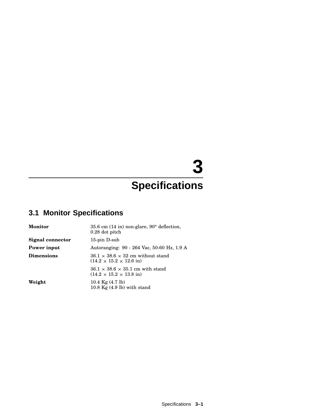# **3**

# **Specifications**

# **3.1 Monitor Specifications**

| <b>Monitor</b>    | 35.6 cm $(14 \text{ in})$ non-glare, 90 $^{\circ}$ deflection,<br>$0.28$ dot pitch           |
|-------------------|----------------------------------------------------------------------------------------------|
| Signal connector  | $15$ -pin D-sub                                                                              |
| Power input       | Autoranging: 90 - 264 Vac, 50-60 Hz, 1.9 A                                                   |
| <b>Dimensions</b> | $36.1 \times 38.6 \times 32$ cm without stand<br>$(14.2 \times 15.2 \times 12.6 \text{ in})$ |
|                   | $36.1 \times 38.6 \times 35.1$ cm with stand<br>$(14.2 \times 15.2 \times 13.8 \text{ in})$  |
| Weight            | 10.4 $Kg(4.7 \text{ lb})$<br>$10.8$ Kg $(4.9$ lb) with stand                                 |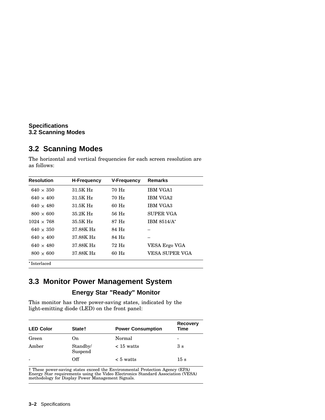## **Specifications 3.2 Scanning Modes**

# **3.2 Scanning Modes**

The horizontal and vertical frequencies for each screen resolution are as follows:

| <b>Resolution</b> | <b>H-Frequency</b> | <b>V-Frequency</b> | <b>Remarks</b>   |
|-------------------|--------------------|--------------------|------------------|
| $640 \times 350$  | 31.5K Hz           | 70 Hz              | <b>IBM VGA1</b>  |
| $640 \times 400$  | 31.5K Hz           | 70 Hz              | <b>IBM VGA2</b>  |
| $640 \times 480$  | 31.5K Hz           | $60$ Hz            | <b>IBM VGA3</b>  |
| $800 \times 600$  | 35.2K Hz           | $56$ Hz            | <b>SUPER VGA</b> |
| $1024 \times 768$ | 35.5K Hz           | 87 Hz              | IBM 8514/A*      |
| $640 \times 350$  | 37.88K Hz          | 84 Hz              |                  |
| $640 \times 400$  | 37.88K Hz          | 84 Hz              |                  |
| $640 \times 480$  | 37.88K Hz          | 72 Hz              | VESA Ergo VGA    |
| $800 \times 600$  | 37.88K Hz          | $60$ Hz            | VESA SUPER VGA   |
| *Interlaced       |                    |                    |                  |

**3.3 Monitor Power Management System**

## **Energy Star "Ready" Monitor**

This monitor has three power-saving states, indicated by the light-emitting diode (LED) on the front panel:

| <b>LED Color</b> | State†              | <b>Power Consumption</b> | <b>Recovery</b><br><b>Time</b> |
|------------------|---------------------|--------------------------|--------------------------------|
| Green            | 0n                  | Normal                   | -                              |
| Amber            | Standby/<br>Suspend | $\langle$ 15 watts       | 3s                             |
|                  | Off                 | $\leq 5$ watts           | 15 s                           |

† These power-saving states exceed the Environmental Protection Agency (EPA) Energy Star requirements using the Video Electronics Standard Association (VESA) methodology for Display Power Management Signals.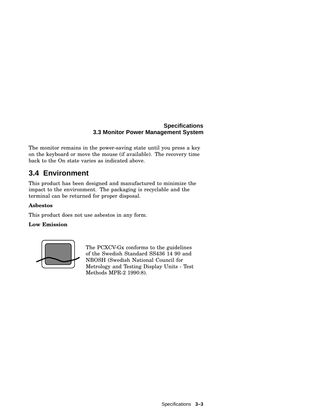## **Specifications 3.3 Monitor Power Management System**

The monitor remains in the power-saving state until you press a key on the keyboard or move the mouse (if available). The recovery time back to the On state varies as indicated above.

# **3.4 Environment**

This product has been designed and manufactured to minimize the impact to the environment. The packaging is recyclable and the terminal can be returned for proper disposal.

## **Asbestos**

This product does not use asbestos in any form.

### **Low Emission**



The PCXCV-Gx conforms to the guidelines of the Swedish Standard SS436 14 90 and NBOSH (Swedish National Council for Metrology and Testing Display Units - Test Methods MPR-2 1990:8).